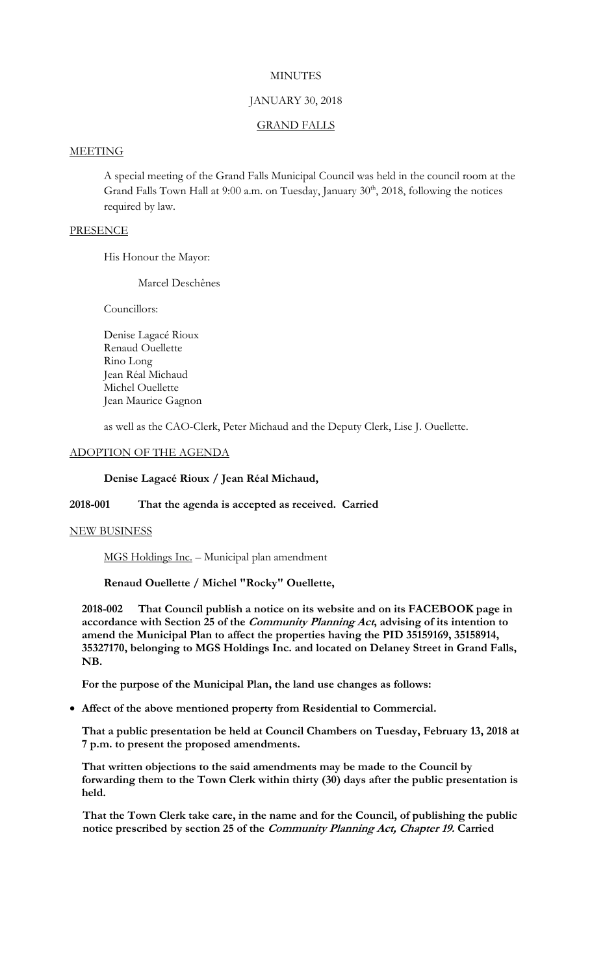# **MINUTES**

## JANUARY 30, 2018

### GRAND FALLS

# **MEETING**

A special meeting of the Grand Falls Municipal Council was held in the council room at the Grand Falls Town Hall at 9:00 a.m. on Tuesday, January 30<sup>th</sup>, 2018, following the notices required by law.

### PRESENCE

His Honour the Mayor:

Marcel Deschênes

Councillors:

Denise Lagacé Rioux Renaud Ouellette Rino Long Jean Réal Michaud Michel Ouellette Jean Maurice Gagnon

as well as the CAO-Clerk, Peter Michaud and the Deputy Clerk, Lise J. Ouellette.

### ADOPTION OF THE AGENDA

# **Denise Lagacé Rioux / Jean Réal Michaud,**

## **2018-001 That the agenda is accepted as received. Carried**

### NEW BUSINESS

MGS Holdings Inc. – Municipal plan amendment

**Renaud Ouellette / Michel "Rocky" Ouellette,**

**2018-002 That Council publish a notice on its website and on its FACEBOOK page in accordance with Section 25 of the Community Planning Act, advising of its intention to amend the Municipal Plan to affect the properties having the PID 35159169, 35158914, 35327170, belonging to MGS Holdings Inc. and located on Delaney Street in Grand Falls, NB.** 

**For the purpose of the Municipal Plan, the land use changes as follows:**

**Affect of the above mentioned property from Residential to Commercial.**

**That a public presentation be held at Council Chambers on Tuesday, February 13, 2018 at 7 p.m. to present the proposed amendments.**

**That written objections to the said amendments may be made to the Council by forwarding them to the Town Clerk within thirty (30) days after the public presentation is held.**

**That the Town Clerk take care, in the name and for the Council, of publishing the public notice prescribed by section 25 of the Community Planning Act, Chapter 19. Carried**